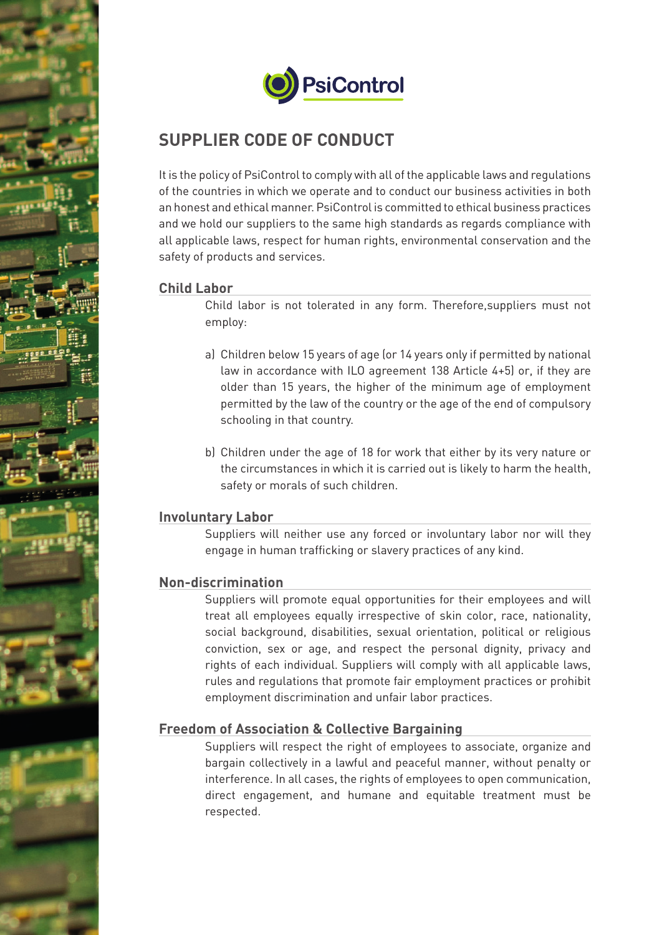





# **SUPPLIER CODE OF CONDUCT**

It is the policy of PsiControl to comply with all of the applicable laws and regulations of the countries in which we operate and to conduct our business activities in both an honest and ethical manner. PsiControl is committed to ethical business practices and we hold our suppliers to the same high standards as regards compliance with all applicable laws, respect for human rights, environmental conservation and the safety of products and services.

## **Child Labor**

Child labor is not tolerated in any form. Therefore,suppliers must not employ:

- a) Children below 15 years of age (or 14 years only if permitted by national law in accordance with ILO agreement 138 Article 4+5) or, if they are older than 15 years, the higher of the minimum age of employment permitted by the law of the country or the age of the end of compulsory schooling in that country.
- b) Children under the age of 18 for work that either by its very nature or the circumstances in which it is carried out is likely to harm the health, safety or morals of such children.

## **Involuntary Labor**

Suppliers will neither use any forced or involuntary labor nor will they engage in human trafficking or slavery practices of any kind.

# **Non-discrimination**

Suppliers will promote equal opportunities for their employees and will treat all employees equally irrespective of skin color, race, nationality, social background, disabilities, sexual orientation, political or religious conviction, sex or age, and respect the personal dignity, privacy and rights of each individual. Suppliers will comply with all applicable laws, rules and regulations that promote fair employment practices or prohibit employment discrimination and unfair labor practices.

# **Freedom of Association & Collective Bargaining**

Suppliers will respect the right of employees to associate, organize and bargain collectively in a lawful and peaceful manner, without penalty or interference. In all cases, the rights of employees to open communication, direct engagement, and humane and equitable treatment must be respected.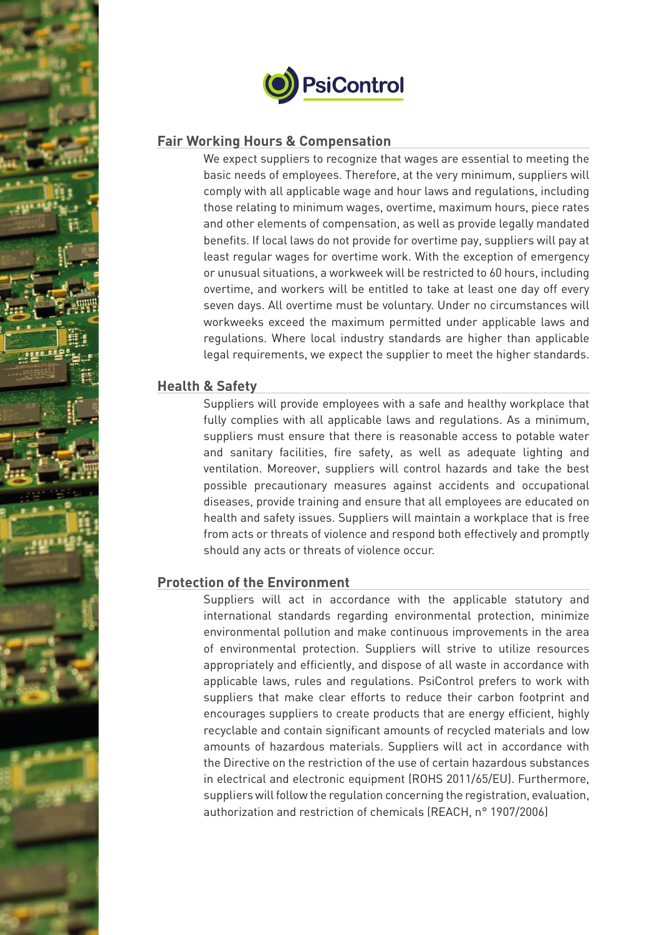



#### **Fair Working Hours & Compensation**

We expect suppliers to recognize that wages are essential to meeting the basic needs of employees. Therefore, at the very minimum, suppliers will comply with all applicable wage and hour laws and regulations, including those relating to minimum wages, overtime, maximum hours, piece rates and other elements of compensation, as well as provide legally mandated benefits. If local laws do not provide for overtime pay, suppliers will pay at least regular wages for overtime work. With the exception of emergency or unusual situations, a workweek will be restricted to 60 hours, including overtime, and workers will be entitled to take at least one day off every seven days. All overtime must be voluntary. Under no circumstances will workweeks exceed the maximum permitted under applicable laws and regulations. Where local industry standards are higher than applicable legal requirements, we expect the supplier to meet the higher standards.

#### **Health & Safety**

Suppliers will provide employees with a safe and healthy workplace that fully complies with all applicable laws and regulations. As a minimum, suppliers must ensure that there is reasonable access to potable water and sanitary facilities, fire safety, as well as adequate lighting and ventilation. Moreover, suppliers will control hazards and take the best possible precautionary measures against accidents and occupational diseases, provide training and ensure that all employees are educated on health and safety issues. Suppliers will maintain a workplace that is free from acts or threats of violence and respond both effectively and promptly should any acts or threats of violence occur.

## **Protection of the Environment**

Suppliers will act in accordance with the applicable statutory and international standards regarding environmental protection, minimize environmental pollution and make continuous improvements in the area of environmental protection. Suppliers will strive to utilize resources appropriately and efficiently, and dispose of all waste in accordance with applicable laws, rules and regulations. PsiControl prefers to work with suppliers that make clear efforts to reduce their carbon footprint and encourages suppliers to create products that are energy efficient, highly recyclable and contain significant amounts of recycled materials and low amounts of hazardous materials. Suppliers will act in accordance with the Directive on the restriction of the use of certain hazardous substances in electrical and electronic equipment (ROHS 2011/65/EU). Furthermore, suppliers will follow the regulation concerning the registration, evaluation, authorization and restriction of chemicals (REACH, n° 1907/2006)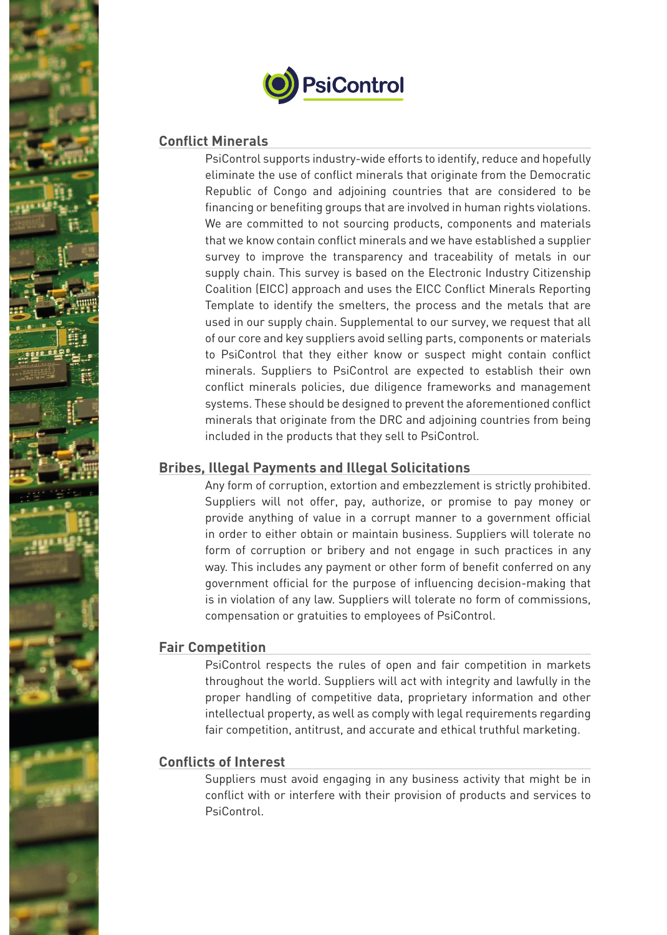



#### **Conflict Minerals**

PsiControl supports industry-wide efforts to identify, reduce and hopefully eliminate the use of conflict minerals that originate from the Democratic Republic of Congo and adjoining countries that are considered to be financing or benefiting groups that are involved in human rights violations. We are committed to not sourcing products, components and materials that we know contain conflict minerals and we have established a supplier survey to improve the transparency and traceability of metals in our supply chain. This survey is based on the Electronic Industry Citizenship Coalition (EICC) approach and uses the EICC Conflict Minerals Reporting Template to identify the smelters, the process and the metals that are used in our supply chain. Supplemental to our survey, we request that all of our core and key suppliers avoid selling parts, components or materials to PsiControl that they either know or suspect might contain conflict minerals. Suppliers to PsiControl are expected to establish their own conflict minerals policies, due diligence frameworks and management systems. These should be designed to prevent the aforementioned conflict minerals that originate from the DRC and adjoining countries from being included in the products that they sell to PsiControl.

## **Bribes, Illegal Payments and Illegal Solicitations**

Any form of corruption, extortion and embezzlement is strictly prohibited. Suppliers will not offer, pay, authorize, or promise to pay money or provide anything of value in a corrupt manner to a government official in order to either obtain or maintain business. Suppliers will tolerate no form of corruption or bribery and not engage in such practices in any way. This includes any payment or other form of benefit conferred on any government official for the purpose of influencing decision-making that is in violation of any law. Suppliers will tolerate no form of commissions, compensation or gratuities to employees of PsiControl.

#### **Fair Competition**

PsiControl respects the rules of open and fair competition in markets throughout the world. Suppliers will act with integrity and lawfully in the proper handling of competitive data, proprietary information and other intellectual property, as well as comply with legal requirements regarding fair competition, antitrust, and accurate and ethical truthful marketing.

## **Conflicts of Interest**

Suppliers must avoid engaging in any business activity that might be in conflict with or interfere with their provision of products and services to PsiControl.